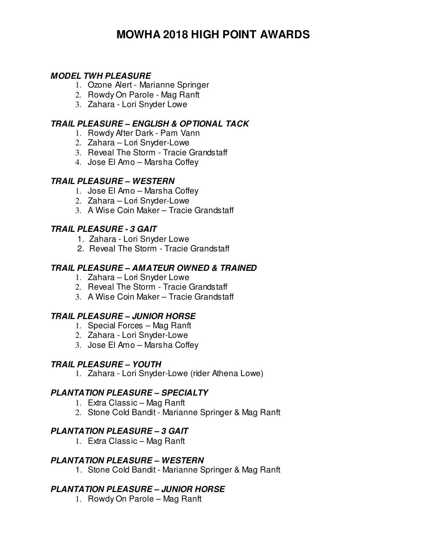# **MOWHA 2018 HIGH POINT AWARDS**

### **MODEL TWH PLEASURE**

- 1. Ozone Alert Marianne Springer
- 2. Rowdy On Parole Mag Ranft
- 3. Zahara Lori Snyder Lowe

### **TRAIL PLEASURE – ENGLISH & OPTIONAL TACK**

- 1. Rowdy After Dark Pam Vann
- 2. Zahara Lori Snyder-Lowe
- 3. Reveal The Storm Tracie Grandstaff
- 4. Jose El Amo Marsha Coffey

#### **TRAIL PLEASURE – WESTERN**

- 1. Jose El Amo Marsha Coffey
- 2. Zahara Lori Snyder-Lowe
- 3. A Wise Coin Maker Tracie Grandstaff

#### **TRAIL PLEASURE - 3 GAIT**

- 1. Zahara Lori Snyder Lowe
- 2. Reveal The Storm Tracie Grandstaff

#### **TRAIL PLEASURE – AMATEUR OWNED & TRAINED**

- 1. Zahara Lori Snyder Lowe
- 2. Reveal The Storm Tracie Grandstaff
- 3. A Wise Coin Maker Tracie Grandstaff

#### **TRAIL PLEASURE – JUNIOR HORSE**

- 1. Special Forces Mag Ranft
- 2. Zahara Lori Snyder-Lowe
- 3. Jose El Amo Marsha Coffey

#### **TRAIL PLEASURE – YOUTH**

1. Zahara - Lori Snyder-Lowe (rider Athena Lowe)

#### **PLANTATION PLEASURE – SPECIALTY**

- 1. Extra Classic Mag Ranft
- 2. Stone Cold Bandit Marianne Springer & Mag Ranft

#### **PLANTATION PLEASURE – 3 GAIT**

1. Extra Classic – Mag Ranft

#### **PLANTATION PLEASURE – WESTERN**

1. Stone Cold Bandit - Marianne Springer & Mag Ranft

### **PLANTATION PLEASURE – JUNIOR HORSE**

1. Rowdy On Parole – Mag Ranft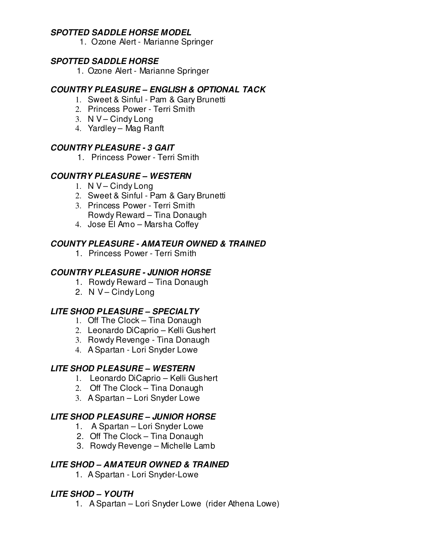### **SPOTTED SADDLE HORSE MODEL**

1. Ozone Alert - Marianne Springer

### **SPOTTED SADDLE HORSE**

1. Ozone Alert - Marianne Springer

#### **COUNTRY PLEASURE – ENGLISH & OPTIONAL TACK**

- 1. Sweet & Sinful Pam & Gary Brunetti
- 2. Princess Power Terri Smith
- 3. N V Cindy Long
- 4. Yardley Mag Ranft

### **COUNTRY PLEASURE - 3 GAIT**

1. Princess Power - Terri Smith

### **COUNTRY PLEASURE – WESTERN**

- 1. N V Cindy Long
- 2. Sweet & Sinful Pam & Gary Brunetti
- 3. Princess Power Terri Smith Rowdy Reward – Tina Donaugh
- 4. Jose El Amo Marsha Coffey

### **COUNTY PLEASURE - AMATEUR OWNED & TRAINED**

1. Princess Power - Terri Smith

### **COUNTRY PLEASURE - JUNIOR HORSE**

- 1. Rowdy Reward Tina Donaugh
- 2. N V-Cindy Long

### **LITE SHOD PLEASURE – SPECIALTY**

- 1. Off The Clock Tina Donaugh
- 2. Leonardo DiCaprio Kelli Gushert
- 3. Rowdy Revenge Tina Donaugh
- 4. A Spartan Lori Snyder Lowe

### **LITE SHOD PLEASURE – WESTERN**

- 1. Leonardo DiCaprio Kelli Gushert
- 2. Off The Clock Tina Donaugh
- 3. A Spartan Lori Snyder Lowe

# **LITE SHOD PLEASURE – JUNIOR HORSE**

- 1. A Spartan Lori Snyder Lowe
- 2. Off The Clock Tina Donaugh
- 3. Rowdy Revenge Michelle Lamb

### **LITE SHOD – AMATEUR OWNED & TRAINED**

1. A Spartan - Lori Snyder-Lowe

### **LITE SHOD – YOUTH**

1. A Spartan – Lori Snyder Lowe (rider Athena Lowe)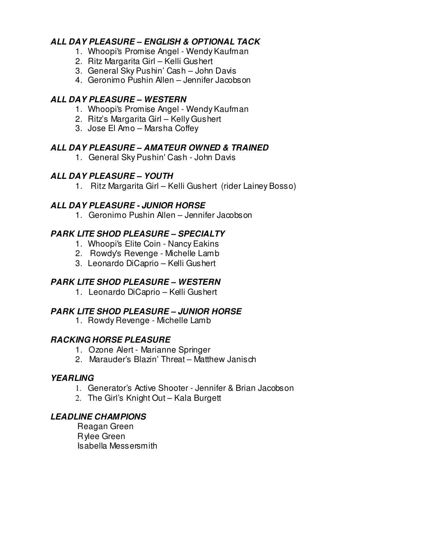### **ALL DAY PLEASURE – ENGLISH & OPTIONAL TACK**

- 1. Whoopi's Promise Angel Wendy Kaufman
- 2. Ritz Margarita Girl Kelli Gushert
- 3. General Sky Pushin' Cash John Davis
- 4. Geronimo Pushin Allen Jennifer Jacobson

### **ALL DAY PLEASURE – WESTERN**

- 1. Whoopi's Promise Angel Wendy Kaufman
- 2. Ritz's Margarita Girl Kelly Gushert
- 3. Jose El Amo Marsha Coffey

# **ALL DAY PLEASURE – AMATEUR OWNED & TRAINED**

1. General Sky Pushin' Cash - John Davis

# **ALL DAY PLEASURE – YOUTH**

1. Ritz Margarita Girl – Kelli Gushert (rider Lainey Bosso)

### **ALL DAY PLEASURE - JUNIOR HORSE**

1. Geronimo Pushin Allen – Jennifer Jacobson

# **PARK LITE SHOD PLEASURE – SPECIALTY**

- 1. Whoopi's Elite Coin Nancy Eakins
- 2. Rowdy's Revenge Michelle Lamb
- 3. Leonardo DiCaprio Kelli Gushert

# **PARK LITE SHOD PLEASURE – WESTERN**

1. Leonardo DiCaprio – Kelli Gushert

### **PARK LITE SHOD PLEASURE – JUNIOR HORSE**

1. Rowdy Revenge - Michelle Lamb

### **RACKING HORSE PLEASURE**

- 1. Ozone Alert Marianne Springer
- 2. Marauder's Blazin' Threat Matthew Janisch

### **YEARLING**

- 1. Generator's Active Shooter Jennifer & Brian Jacobson
- 2. The Girl's Knight Out Kala Burgett

### **LEADLINE CHAMPIONS**

 Reagan Green Rylee Green Isabella Messersmith